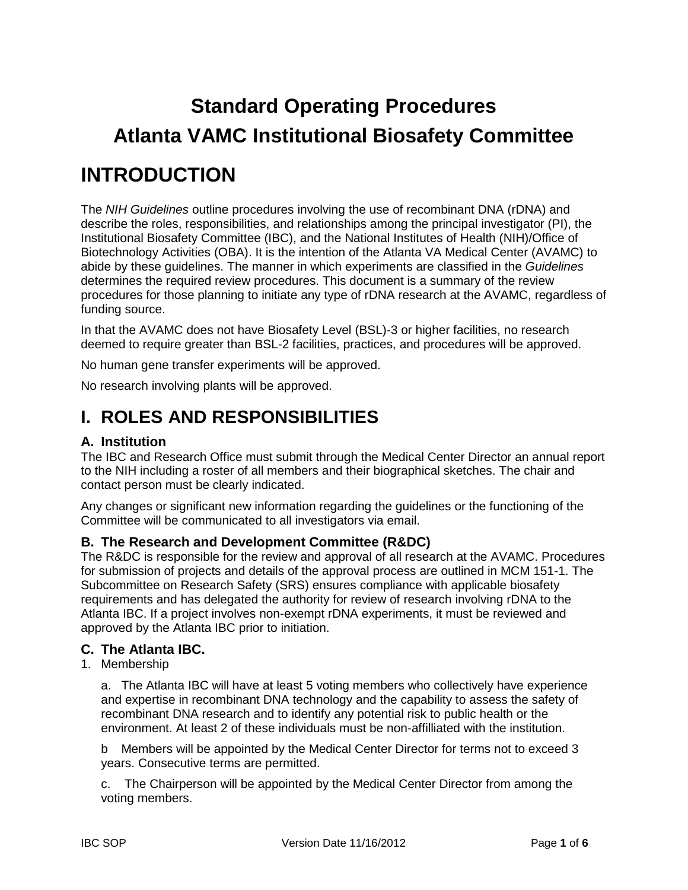# **Standard Operating Procedures Atlanta VAMC Institutional Biosafety Committee**

## **INTRODUCTION**

The *NIH Guidelines* outline procedures involving the use of recombinant DNA (rDNA) and describe the roles, responsibilities, and relationships among the principal investigator (PI), the Institutional Biosafety Committee (IBC), and the National Institutes of Health (NIH)/Office of Biotechnology Activities (OBA). It is the intention of the Atlanta VA Medical Center (AVAMC) to abide by these guidelines. The manner in which experiments are classified in the *Guidelines*  determines the required review procedures. This document is a summary of the review procedures for those planning to initiate any type of rDNA research at the AVAMC, regardless of funding source.

In that the AVAMC does not have Biosafety Level (BSL)-3 or higher facilities, no research deemed to require greater than BSL-2 facilities, practices, and procedures will be approved.

No human gene transfer experiments will be approved.

No research involving plants will be approved.

### **I. ROLES AND RESPONSIBILITIES**

### **A. Institution**

The IBC and Research Office must submit through the Medical Center Director an annual report to the NIH including a roster of all members and their biographical sketches. The chair and contact person must be clearly indicated.

Any changes or significant new information regarding the guidelines or the functioning of the Committee will be communicated to all investigators via email.

### **B. The Research and Development Committee (R&DC)**

The R&DC is responsible for the review and approval of all research at the AVAMC. Procedures for submission of projects and details of the approval process are outlined in MCM 151-1. The Subcommittee on Research Safety (SRS) ensures compliance with applicable biosafety requirements and has delegated the authority for review of research involving rDNA to the Atlanta IBC. If a project involves non-exempt rDNA experiments, it must be reviewed and approved by the Atlanta IBC prior to initiation.

### **C. The Atlanta IBC.**

1. Membership

a. The Atlanta IBC will have at least 5 voting members who collectively have experience and expertise in recombinant DNA technology and the capability to assess the safety of recombinant DNA research and to identify any potential risk to public health or the environment. At least 2 of these individuals must be non-affilliated with the institution.

b Members will be appointed by the Medical Center Director for terms not to exceed 3 years. Consecutive terms are permitted.

c. The Chairperson will be appointed by the Medical Center Director from among the voting members.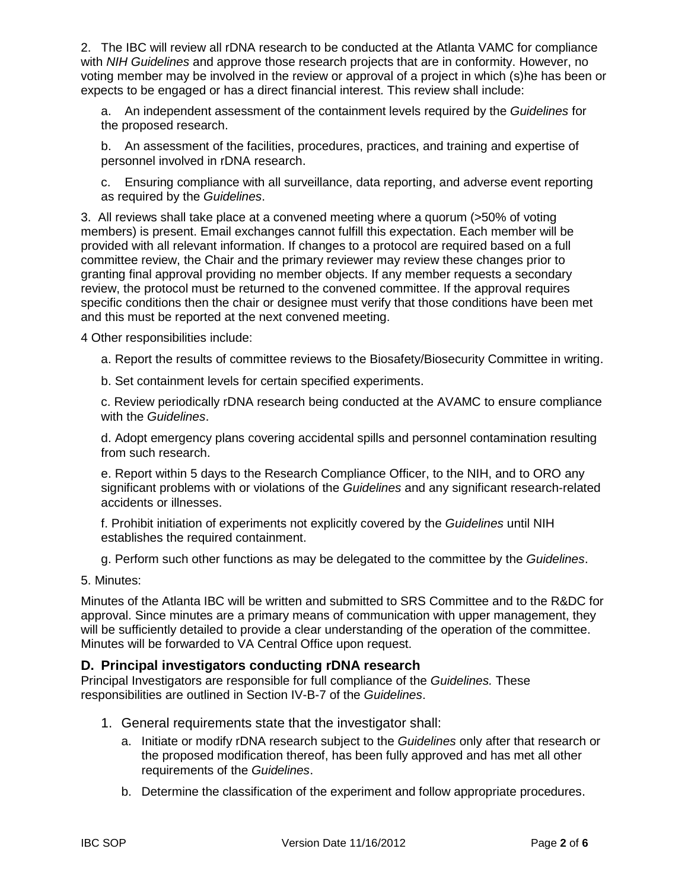2. The IBC will review all rDNA research to be conducted at the Atlanta VAMC for compliance with *NIH Guidelines* and approve those research projects that are in conformity. However, no voting member may be involved in the review or approval of a project in which (s)he has been or expects to be engaged or has a direct financial interest. This review shall include:

a. An independent assessment of the containment levels required by the *Guidelines* for the proposed research.

b. An assessment of the facilities, procedures, practices, and training and expertise of personnel involved in rDNA research.

c. Ensuring compliance with all surveillance, data reporting, and adverse event reporting as required by the *Guidelines*.

3. All reviews shall take place at a convened meeting where a quorum (>50% of voting members) is present. Email exchanges cannot fulfill this expectation. Each member will be provided with all relevant information. If changes to a protocol are required based on a full committee review, the Chair and the primary reviewer may review these changes prior to granting final approval providing no member objects. If any member requests a secondary review, the protocol must be returned to the convened committee. If the approval requires specific conditions then the chair or designee must verify that those conditions have been met and this must be reported at the next convened meeting.

4 Other responsibilities include:

a. Report the results of committee reviews to the Biosafety/Biosecurity Committee in writing.

b. Set containment levels for certain specified experiments.

c. Review periodically rDNA research being conducted at the AVAMC to ensure compliance with the *Guidelines*.

d. Adopt emergency plans covering accidental spills and personnel contamination resulting from such research.

e. Report within 5 days to the Research Compliance Officer, to the NIH, and to ORO any significant problems with or violations of the *Guidelines* and any significant research-related accidents or illnesses.

f. Prohibit initiation of experiments not explicitly covered by the *Guidelines* until NIH establishes the required containment.

g. Perform such other functions as may be delegated to the committee by the *Guidelines*.

5. Minutes:

Minutes of the Atlanta IBC will be written and submitted to SRS Committee and to the R&DC for approval. Since minutes are a primary means of communication with upper management, they will be sufficiently detailed to provide a clear understanding of the operation of the committee. Minutes will be forwarded to VA Central Office upon request.

### **D. Principal investigators conducting rDNA research**

Principal Investigators are responsible for full compliance of the *Guidelines.* These responsibilities are outlined in Section IV-B-7 of the *Guidelines*.

- 1. General requirements state that the investigator shall:
	- a. Initiate or modify rDNA research subject to the *Guidelines* only after that research or the proposed modification thereof, has been fully approved and has met all other requirements of the *Guidelines*.
	- b. Determine the classification of the experiment and follow appropriate procedures.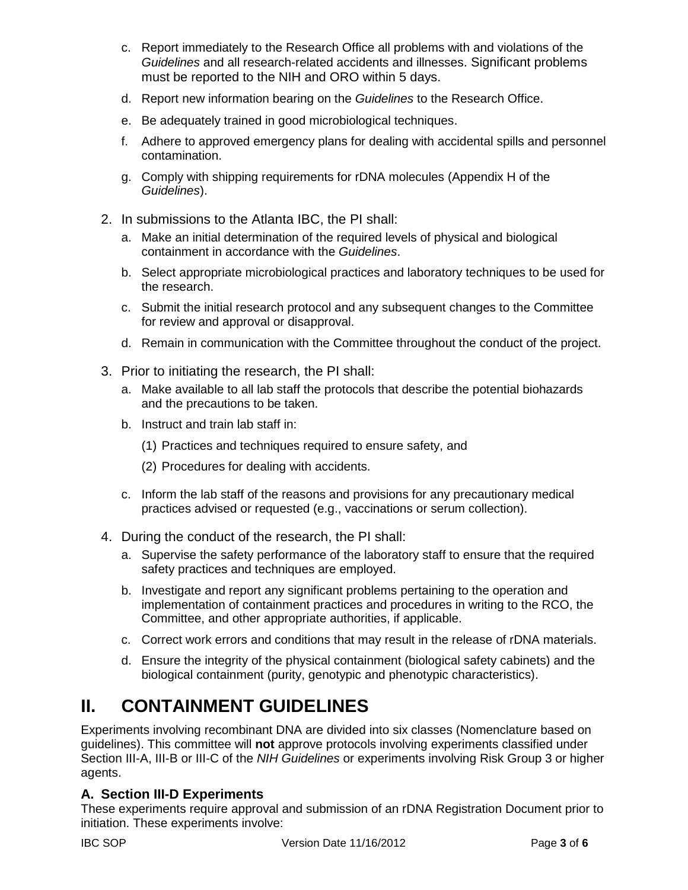- c. Report immediately to the Research Office all problems with and violations of the *Guidelines* and all research-related accidents and illnesses. Significant problems must be reported to the NIH and ORO within 5 days.
- d. Report new information bearing on the *Guidelines* to the Research Office.
- e. Be adequately trained in good microbiological techniques.
- f. Adhere to approved emergency plans for dealing with accidental spills and personnel contamination.
- g. Comply with shipping requirements for rDNA molecules (Appendix H of the *Guidelines*).
- 2. In submissions to the Atlanta IBC, the PI shall:
	- a. Make an initial determination of the required levels of physical and biological containment in accordance with the *Guidelines*.
	- b. Select appropriate microbiological practices and laboratory techniques to be used for the research.
	- c. Submit the initial research protocol and any subsequent changes to the Committee for review and approval or disapproval.
	- d. Remain in communication with the Committee throughout the conduct of the project.
- 3. Prior to initiating the research, the PI shall:
	- a. Make available to all lab staff the protocols that describe the potential biohazards and the precautions to be taken.
	- b. Instruct and train lab staff in:
		- (1) Practices and techniques required to ensure safety, and
		- (2) Procedures for dealing with accidents.
	- c. Inform the lab staff of the reasons and provisions for any precautionary medical practices advised or requested (e.g., vaccinations or serum collection).
- 4. During the conduct of the research, the PI shall:
	- a. Supervise the safety performance of the laboratory staff to ensure that the required safety practices and techniques are employed.
	- b. Investigate and report any significant problems pertaining to the operation and implementation of containment practices and procedures in writing to the RCO, the Committee, and other appropriate authorities, if applicable.
	- c. Correct work errors and conditions that may result in the release of rDNA materials.
	- d. Ensure the integrity of the physical containment (biological safety cabinets) and the biological containment (purity, genotypic and phenotypic characteristics).

### **II. CONTAINMENT GUIDELINES**

Experiments involving recombinant DNA are divided into six classes (Nomenclature based on guidelines). This committee will **not** approve protocols involving experiments classified under Section III-A, III-B or III-C of the *NIH Guidelines* or experiments involving Risk Group 3 or higher agents.

### **A. Section III-D Experiments**

These experiments require approval and submission of an rDNA Registration Document prior to initiation. These experiments involve: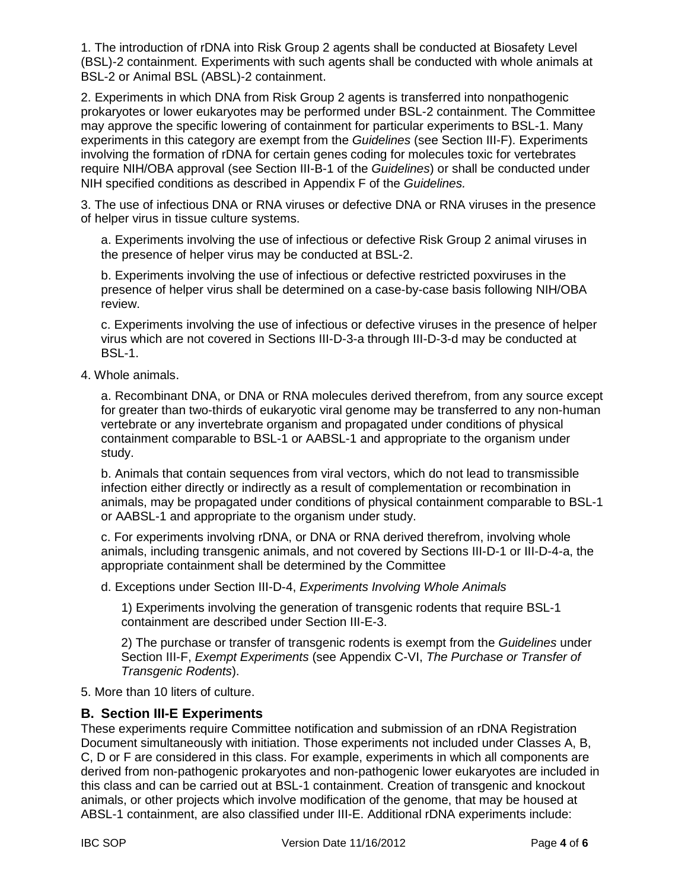1. The introduction of rDNA into Risk Group 2 agents shall be conducted at Biosafety Level (BSL)-2 containment. Experiments with such agents shall be conducted with whole animals at BSL-2 or Animal BSL (ABSL)-2 containment.

2. Experiments in which DNA from Risk Group 2 agents is transferred into nonpathogenic prokaryotes or lower eukaryotes may be performed under BSL-2 containment. The Committee may approve the specific lowering of containment for particular experiments to BSL-1. Many experiments in this category are exempt from the *Guidelines* (see Section III-F). Experiments involving the formation of rDNA for certain genes coding for molecules toxic for vertebrates require NIH/OBA approval (see Section III-B-1 of the *Guidelines*) or shall be conducted under NIH specified conditions as described in Appendix F of the *Guidelines.* 

3. The use of infectious DNA or RNA viruses or defective DNA or RNA viruses in the presence of helper virus in tissue culture systems.

a. Experiments involving the use of infectious or defective Risk Group 2 animal viruses in the presence of helper virus may be conducted at BSL-2.

b. Experiments involving the use of infectious or defective restricted poxviruses in the presence of helper virus shall be determined on a case-by-case basis following NIH/OBA review.

c. Experiments involving the use of infectious or defective viruses in the presence of helper virus which are not covered in Sections III-D-3-a through III-D-3-d may be conducted at BSL-1.

4. Whole animals.

a. Recombinant DNA, or DNA or RNA molecules derived therefrom, from any source except for greater than two-thirds of eukaryotic viral genome may be transferred to any non-human vertebrate or any invertebrate organism and propagated under conditions of physical containment comparable to BSL-1 or AABSL-1 and appropriate to the organism under study.

b. Animals that contain sequences from viral vectors, which do not lead to transmissible infection either directly or indirectly as a result of complementation or recombination in animals, may be propagated under conditions of physical containment comparable to BSL-1 or AABSL-1 and appropriate to the organism under study.

c. For experiments involving rDNA, or DNA or RNA derived therefrom, involving whole animals, including transgenic animals, and not covered by Sections III-D-1 or III-D-4-a, the appropriate containment shall be determined by the Committee

d. Exceptions under Section III-D-4, *Experiments Involving Whole Animals* 

1) Experiments involving the generation of transgenic rodents that require BSL-1 containment are described under Section III-E-3.

2) The purchase or transfer of transgenic rodents is exempt from the *Guidelines* under Section III-F, *Exempt Experiments* (see Appendix C-VI, *The Purchase or Transfer of Transgenic Rodents*).

5. More than 10 liters of culture.

### **B. Section III-E Experiments**

These experiments require Committee notification and submission of an rDNA Registration Document simultaneously with initiation. Those experiments not included under Classes A, B, C, D or F are considered in this class. For example, experiments in which all components are derived from non-pathogenic prokaryotes and non-pathogenic lower eukaryotes are included in this class and can be carried out at BSL-1 containment. Creation of transgenic and knockout animals, or other projects which involve modification of the genome, that may be housed at ABSL-1 containment, are also classified under III-E. Additional rDNA experiments include: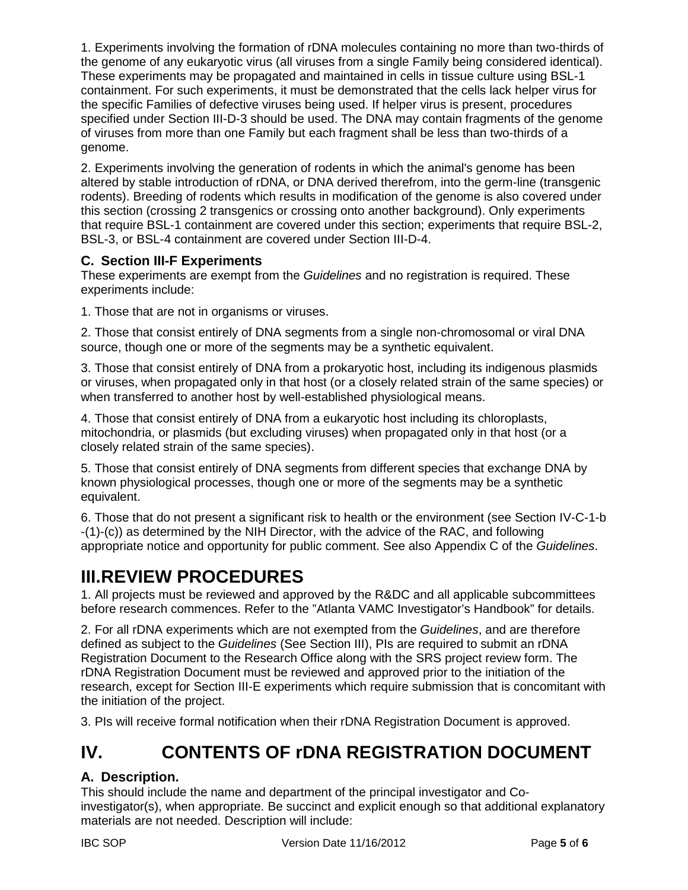1. Experiments involving the formation of rDNA molecules containing no more than two-thirds of the genome of any eukaryotic virus (all viruses from a single Family being considered identical). These experiments may be propagated and maintained in cells in tissue culture using BSL-1 containment. For such experiments, it must be demonstrated that the cells lack helper virus for the specific Families of defective viruses being used. If helper virus is present, procedures specified under Section III-D-3 should be used. The DNA may contain fragments of the genome of viruses from more than one Family but each fragment shall be less than two-thirds of a genome.

2. Experiments involving the generation of rodents in which the animal's genome has been altered by stable introduction of rDNA, or DNA derived therefrom, into the germ-line (transgenic rodents). Breeding of rodents which results in modification of the genome is also covered under this section (crossing 2 transgenics or crossing onto another background). Only experiments that require BSL-1 containment are covered under this section; experiments that require BSL-2, BSL-3, or BSL-4 containment are covered under Section III-D-4.

### **C. Section III-F Experiments**

These experiments are exempt from the *Guidelines* and no registration is required. These experiments include:

1. Those that are not in organisms or viruses.

2. Those that consist entirely of DNA segments from a single non-chromosomal or viral DNA source, though one or more of the segments may be a synthetic equivalent.

3. Those that consist entirely of DNA from a prokaryotic host, including its indigenous plasmids or viruses, when propagated only in that host (or a closely related strain of the same species) or when transferred to another host by well-established physiological means.

4. Those that consist entirely of DNA from a eukaryotic host including its chloroplasts, mitochondria, or plasmids (but excluding viruses) when propagated only in that host (or a closely related strain of the same species).

5. Those that consist entirely of DNA segments from different species that exchange DNA by known physiological processes, though one or more of the segments may be a synthetic equivalent.

6. Those that do not present a significant risk to health or the environment (see Section IV-C-1-b -(1)-(c)) as determined by the NIH Director, with the advice of the RAC, and following appropriate notice and opportunity for public comment. See also Appendix C of the *Guidelines*.

### **III.REVIEW PROCEDURES**

1. All projects must be reviewed and approved by the R&DC and all applicable subcommittees before research commences. Refer to the "Atlanta VAMC Investigator's Handbook" for details.

2. For all rDNA experiments which are not exempted from the *Guidelines*, and are therefore defined as subject to the *Guidelines* (See Section III), PIs are required to submit an rDNA Registration Document to the Research Office along with the SRS project review form. The rDNA Registration Document must be reviewed and approved prior to the initiation of the research, except for Section III-E experiments which require submission that is concomitant with the initiation of the project.

3. PIs will receive formal notification when their rDNA Registration Document is approved.

### **IV. CONTENTS OF rDNA REGISTRATION DOCUMENT**

### **A. Description.**

This should include the name and department of the principal investigator and Coinvestigator(s), when appropriate. Be succinct and explicit enough so that additional explanatory materials are not needed. Description will include: